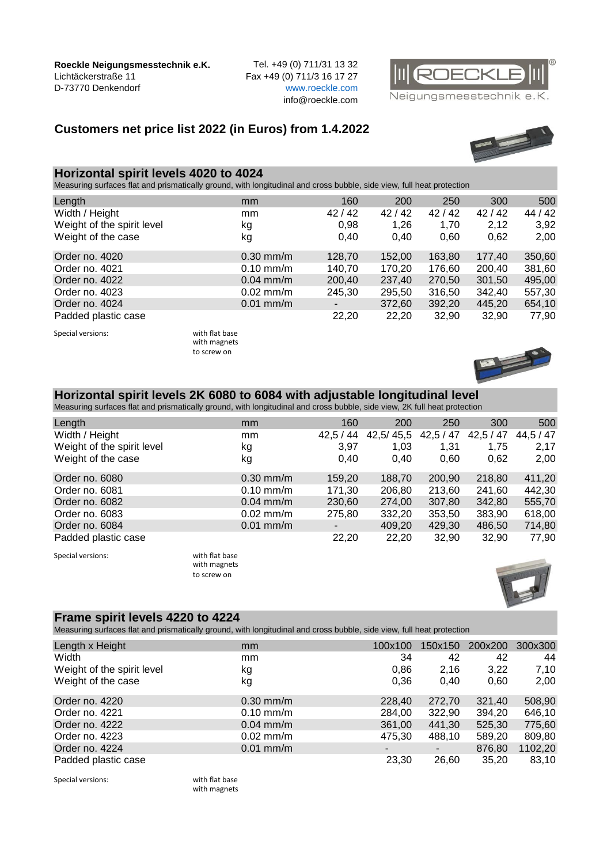**Roeckle Neigungsmesstechnik e.K.** Tel. +49 (0) 711/31 13 32 Lichtäckerstraße 11 Fax +49 (0) 711/3 16 17 27 D-73770 Denkendorf [w](http://www.roeckle.com/)ww.roeckle.com

info@roeckle.com



Neigungsmesstechnik e.K.

## **Customers net price list 2022 (in Euros) from 1.4.2022**



## **Horizontal spirit levels 4020 to 4024**

Measuring surfaces flat and prismatically ground, with longitudinal and cross bubble, side view, full heat protection

| Length                     | mm          | 160    | 200    | 250    | 300    | 500     |
|----------------------------|-------------|--------|--------|--------|--------|---------|
| Width / Height             | mm          | 42/42  | 42/42  | 42/42  | 42/42  | 44 / 42 |
| Weight of the spirit level | kg          | 0,98   | 1,26   | 1,70   | 2,12   | 3,92    |
| Weight of the case         | kg          | 0.40   | 0.40   | 0,60   | 0,62   | 2,00    |
| Order no. 4020             | $0.30$ mm/m | 128,70 | 152,00 | 163,80 | 177,40 | 350,60  |
| Order no. 4021             | $0.10$ mm/m | 140,70 | 170,20 | 176,60 | 200,40 | 381,60  |
| Order no. 4022             | $0.04$ mm/m | 200,40 | 237,40 | 270,50 | 301,50 | 495,00  |
| Order no. 4023             | $0.02$ mm/m | 245,30 | 295,50 | 316,50 | 342,40 | 557,30  |
| Order no. 4024             | $0.01$ mm/m | ۰.     | 372,60 | 392,20 | 445,20 | 654,10  |
| Padded plastic case        |             | 22,20  | 22,20  | 32,90  | 32,90  | 77,90   |

Special versions: with flat base

with magnets to screw on



#### **Horizontal spirit levels 2K 6080 to 6084 with adjustable longitudinal level**

Measuring surfaces flat and prismatically ground, with longitudinal and cross bubble, side view, 2K full heat protection

| Length                     | mm          | 160     | 200       | 250     | 300     | 500       |
|----------------------------|-------------|---------|-----------|---------|---------|-----------|
| Width / Height             | mm          | 42,5/44 | 42,5/45,5 | 42,5/47 | 42,5/47 | 44,5 / 47 |
| Weight of the spirit level | kg          | 3.97    | 1,03      | 1,31    | 1.75    | 2,17      |
| Weight of the case         | kg          | 0.40    | 0.40      | 0.60    | 0,62    | 2,00      |
| Order no. 6080             | $0.30$ mm/m | 159,20  | 188,70    | 200,90  | 218,80  | 411,20    |
| Order no. 6081             | $0.10$ mm/m | 171,30  | 206,80    | 213,60  | 241,60  | 442,30    |
| Order no. 6082             | $0.04$ mm/m | 230,60  | 274,00    | 307,80  | 342,80  | 555,70    |
| Order no. 6083             | $0.02$ mm/m | 275,80  | 332,20    | 353,50  | 383,90  | 618,00    |
| Order no. 6084             | $0.01$ mm/m |         | 409,20    | 429,30  | 486,50  | 714,80    |
| Padded plastic case        |             | 22,20   | 22,20     | 32,90   | 32,90   | 77,90     |

Special versions: with flat base

with magnets to screw on



## **Frame spirit levels 4220 to 4224**

Measuring surfaces flat and prismatically ground, with longitudinal and cross bubble, side view, full heat protection

| Length x Height            | mm          | 100x100 | 150x150 | 200x200 | 300x300 |
|----------------------------|-------------|---------|---------|---------|---------|
| Width                      | mm          | 34      | 42      | 42      | 44      |
| Weight of the spirit level | kg          | 0,86    | 2,16    | 3,22    | 7,10    |
| Weight of the case         | kg          | 0.36    | 0.40    | 0.60    | 2,00    |
| Order no. 4220             | $0.30$ mm/m | 228,40  | 272,70  | 321,40  | 508,90  |
| Order no. 4221             | $0.10$ mm/m | 284,00  | 322.90  | 394,20  | 646,10  |
| Order no. 4222             | $0.04$ mm/m | 361,00  | 441,30  | 525,30  | 775,60  |
| Order no. 4223             | $0.02$ mm/m | 475,30  | 488,10  | 589,20  | 809,80  |
| Order no. 4224             | $0.01$ mm/m |         | ۰       | 876,80  | 1102,20 |
| Padded plastic case        |             | 23,30   | 26,60   | 35,20   | 83,10   |
|                            |             |         |         |         |         |

Special versions: with flat base

with magnets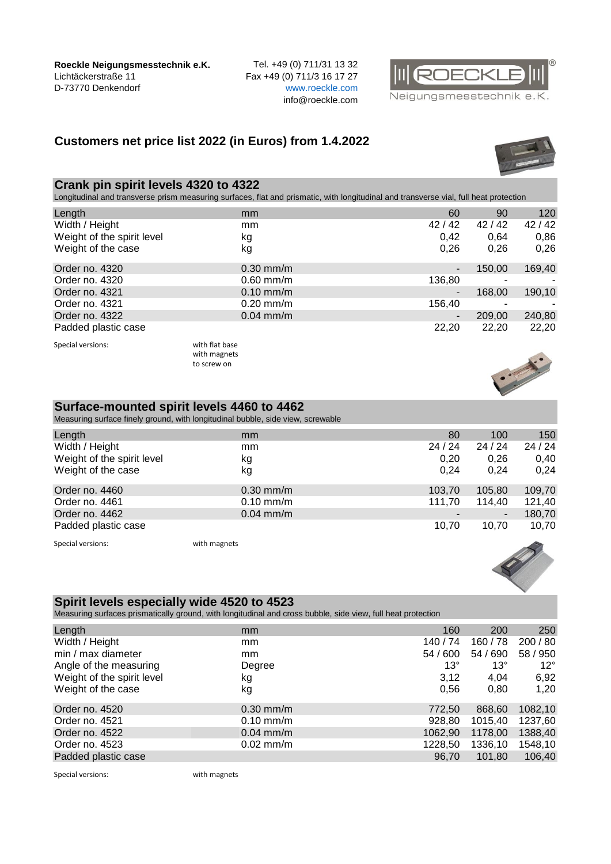**Roeckle Neigungsmesstechnik e.K.** Tel. +49 (0) 711/31 13 32 Lichtäckerstraße 11 Fax +49 (0) 711/3 16 17 27 D-73770 Denkendorf [w](http://www.roeckle.com/)ww.roeckle.com

info@roeckle.com

# **Customers net price list 2022 (in Euros) from 1.4.2022**

#### **Crank pin spirit levels 4320 to 4322**

Longitudinal and transverse prism measuring surfaces, flat and prismatic, with longitudinal and transverse vial, full heat protection

| Length                     | mm             | 60     | 90     | 120    |
|----------------------------|----------------|--------|--------|--------|
| Width / Height             | mm             | 42/42  | 42/42  | 42/42  |
| Weight of the spirit level | kg             | 0.42   | 0.64   | 0,86   |
| Weight of the case         | kg             | 0,26   | 0,26   | 0,26   |
| Order no. 4320             | $0.30$ mm/m    | ٠      | 150,00 | 169,40 |
| Order no. 4320             | $0.60$ mm/m    | 136,80 | ۰      | ٠      |
| Order no. 4321             | $0.10$ mm/m    | ۰      | 168,00 | 190,10 |
| Order no. 4321             | $0.20$ mm/m    | 156,40 | ۰      |        |
| Order no. 4322             | $0.04$ mm/m    | -      | 209,00 | 240,80 |
| Padded plastic case        |                | 22,20  | 22,20  | 22,20  |
| Special versions:          | with flat base |        |        |        |

with magnets to screw on

## **Surface-mounted spirit levels 4460 to 4462**

Measuring surface finely ground, with longitudinal bubble, side view, screwable

| Length                     | mm           | 80     | 100    | 150    |
|----------------------------|--------------|--------|--------|--------|
| Width / Height             | mm           | 24/24  | 24/24  | 24/24  |
| Weight of the spirit level | kg           | 0.20   | 0,26   | 0,40   |
| Weight of the case         | kg           | 0.24   | 0.24   | 0,24   |
| Order no. 4460             | $0.30$ mm/m  | 103,70 | 105,80 | 109,70 |
| Order no. 4461             | $0.10$ mm/m  | 111,70 | 114,40 | 121,40 |
| Order no. 4462             | $0.04$ mm/m  |        | ٠      | 180,70 |
| Padded plastic case        |              | 10.70  | 10.70  | 10,70  |
| Special versions:          | with magnets |        |        |        |

## **Spirit levels especially wide 4520 to 4523**

Measuring surfaces prismatically ground, with longitudinal and cross bubble, side view, full heat protection

| Length                     | mm            | 160          | 200        | 250          |
|----------------------------|---------------|--------------|------------|--------------|
| Width / Height             | mm            | 140/74       | 160/78     | 200 / 80     |
| min / max diameter         | <sub>mm</sub> | 54 / 600     | 54 / 690   | 58 / 950     |
| Angle of the measuring     | Degree        | $13^{\circ}$ | $13^\circ$ | $12^{\circ}$ |
| Weight of the spirit level | kg            | 3,12         | 4,04       | 6,92         |
| Weight of the case         | kg            | 0.56         | 0,80       | 1,20         |
| Order no. 4520             | $0.30$ mm/m   | 772,50       | 868,60     | 1082,10      |
| Order no. 4521             | $0.10$ mm/m   | 928.80       | 1015,40    | 1237,60      |
| Order no. 4522             | $0.04$ mm/m   | 1062.90      | 1178,00    | 1388,40      |
| Order no. 4523             | $0.02$ mm/m   | 1228,50      | 1336,10    | 1548,10      |
| Padded plastic case        |               | 96,70        | 101,80     | 106,40       |

Special versions: with magnets





Neigungsmesstechnik e.K.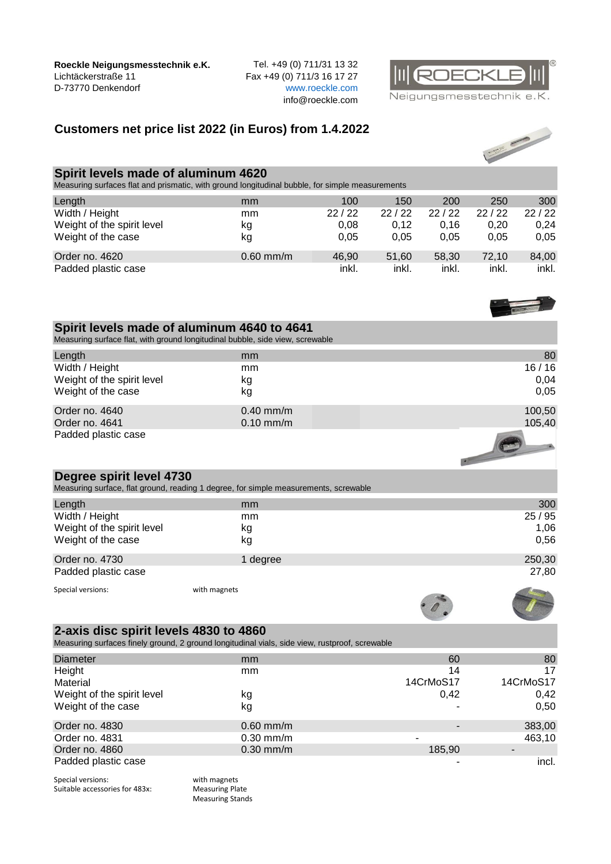**Roeckle Neigungsmesstechnik e.K.** Tel. +49 (0) 711/31 13 32<br>Lichtäckerstraße 11 Fax +49 (0) 711/3 16 17 27 D-73770 Denkendorf

Fax +49 (0) 711/3 16 17 27<br>www.roeckle.com info@roeckle.com



Neigungsmesstechnik e.K.

## **Customers net price list 2022 (in Euros) from 1.4.2022**



## **Spirit levels made of aluminum 4620**

Measuring surfaces flat and prismatic, with ground longitudinal bubble, for simple measurements

| Length                     | mm          | 100   | 150   | 200   | 250   | 300   |
|----------------------------|-------------|-------|-------|-------|-------|-------|
| Width / Height             | mm          | 22/22 | 22/22 | 22/22 | 22/22 | 22/22 |
| Weight of the spirit level | κg          | 0.08  | 0.12  | 0.16  | 0.20  | 0.24  |
| Weight of the case         | kg          | 0.05  | 0.05  | 0.05  | 0.05  | 0,05  |
| Order no. 4620             | $0.60$ mm/m | 46.90 | 51.60 | 58.30 | 72.10 | 84,00 |
| Padded plastic case        |             | inkl. | inkl. | inkl. | inkl. | inkl. |

| Spirit levels made of aluminum 4640 to 4641<br>Measuring surface flat, with ground longitudinal bubble, side view, screwable             |              |        |  |  |
|------------------------------------------------------------------------------------------------------------------------------------------|--------------|--------|--|--|
| Length                                                                                                                                   | mm           | 80     |  |  |
| Width / Height                                                                                                                           | mm           | 16/16  |  |  |
| Weight of the spirit level                                                                                                               | kg           | 0,04   |  |  |
| Weight of the case                                                                                                                       | kg           | 0,05   |  |  |
|                                                                                                                                          |              |        |  |  |
| Order no. 4640                                                                                                                           | $0.40$ mm/m  | 100,50 |  |  |
| Order no. 4641                                                                                                                           | $0.10$ mm/m  | 105,40 |  |  |
| Padded plastic case                                                                                                                      |              |        |  |  |
| Degree spirit level 4730<br>Measuring surface, flat ground, reading 1 degree, for simple measurements, screwable                         |              |        |  |  |
| Length                                                                                                                                   | mm           | 300    |  |  |
| Width / Height                                                                                                                           | mm           | 25/95  |  |  |
| Weight of the spirit level                                                                                                               | kg           | 1,06   |  |  |
| Weight of the case                                                                                                                       | kg           | 0,56   |  |  |
| Order no. 4730                                                                                                                           | 1 degree     | 250,30 |  |  |
| Padded plastic case                                                                                                                      |              | 27,80  |  |  |
| Special versions:                                                                                                                        | with magnets |        |  |  |
|                                                                                                                                          |              |        |  |  |
| 2-axis disc spirit levels 4830 to 4860<br>Measuring surfaces finely ground, 2 ground longitudinal vials, side view, rustproof, screwable |              |        |  |  |

| <b>Diameter</b>            | mm          | 60        | 80        |
|----------------------------|-------------|-----------|-----------|
| Height                     | mm          | 14        | 17        |
| Material                   |             | 14CrMoS17 | 14CrMoS17 |
| Weight of the spirit level | kg          | 0,42      | 0,42      |
| Weight of the case         | kg          |           | 0,50      |
| Order no. 4830             | $0.60$ mm/m |           | 383,00    |
| Order no. 4831             | $0.30$ mm/m |           | 463,10    |
| Order no. 4860             | $0.30$ mm/m | 185,90    |           |
| Padded plastic case        |             |           | incl.     |

Special versions: with magnets<br>
Suitable accessories for 483x: Measuring Plate Suitable accessories for 483x:

Measuring Stands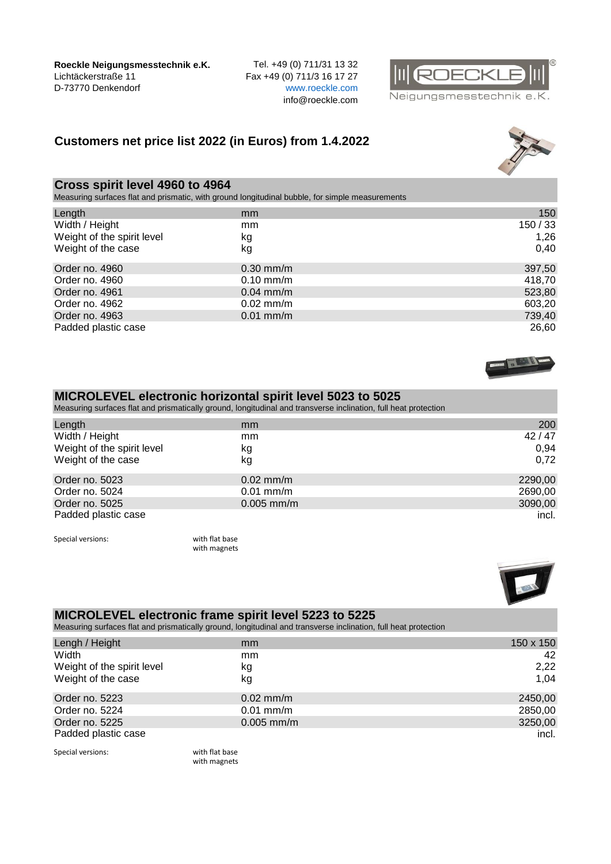**Roeckle Neigungsmesstechnik e.K.** Tel. +49 (0) 711/31 13 32 Lichtäckerstraße 11 Fax +49 (0) 711/3 16 17 27 D-73770 Denkendorf [w](http://www.roeckle.com/)ww.roeckle.com

info@roeckle.com



Neigungsmesstechnik e.K.

## **Customers net price list 2022 (in Euros) from 1.4.2022**



## **Cross spirit level 4960 to 4964**

Measuring surfaces flat and prismatic, with ground longitudinal bubble, for simple measurements

| Length                     | mm          | 150    |
|----------------------------|-------------|--------|
| Width / Height             | mm          | 150/33 |
| Weight of the spirit level | kg          | 1,26   |
| Weight of the case         | kg          | 0,40   |
| Order no. 4960             | $0.30$ mm/m | 397,50 |
| Order no. 4960             | $0.10$ mm/m | 418,70 |
| Order no. 4961             | $0.04$ mm/m | 523,80 |
| Order no. 4962             | $0.02$ mm/m | 603,20 |
| Order no. 4963             | $0.01$ mm/m | 739,40 |
| Padded plastic case        |             | 26,60  |



#### **MICROLEVEL electronic horizontal spirit level 5023 to 5025**

Measuring surfaces flat and prismatically ground, longitudinal and transverse inclination, full heat protection

| Length                     | mm           | 200     |
|----------------------------|--------------|---------|
| Width / Height             | mm           | 42/47   |
| Weight of the spirit level | kg           | 0.94    |
| Weight of the case         | kg           | 0.72    |
| Order no. 5023             | $0.02$ mm/m  | 2290,00 |
| Order no. 5024             | $0.01$ mm/m  | 2690,00 |
| Order no. 5025             | $0.005$ mm/m | 3090,00 |
| Padded plastic case        |              | incl.   |

Special versions: with flat base

with magnets



#### **MICROLEVEL electronic frame spirit level 5223 to 5225**

Measuring surfaces flat and prismatically ground, longitudinal and transverse inclination, full heat protection

| Lengh / Height             | mm           | 150 x 150 |
|----------------------------|--------------|-----------|
| Width                      | mm           | 42        |
| Weight of the spirit level | kg           | 2,22      |
| Weight of the case         | kg           | 1.04      |
| Order no. 5223             | $0.02$ mm/m  | 2450,00   |
| Order no. 5224             | $0.01$ mm/m  | 2850,00   |
| Order no. 5225             | $0.005$ mm/m | 3250,00   |
| Padded plastic case        |              | incl.     |

Special versions: with flat base

with magnets